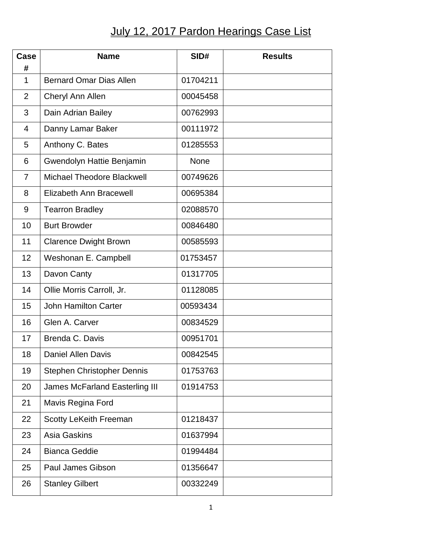## July 12, 2017 Pardon Hearings Case List

| <b>Case</b><br># | <b>Name</b>                           | SID#        | <b>Results</b> |
|------------------|---------------------------------------|-------------|----------------|
| $\mathbf 1$      | <b>Bernard Omar Dias Allen</b>        | 01704211    |                |
| $\overline{2}$   | Cheryl Ann Allen                      | 00045458    |                |
| 3                | Dain Adrian Bailey                    | 00762993    |                |
| $\overline{4}$   | Danny Lamar Baker                     | 00111972    |                |
| 5                | Anthony C. Bates                      | 01285553    |                |
| 6                | Gwendolyn Hattie Benjamin             | <b>None</b> |                |
| $\overline{7}$   | <b>Michael Theodore Blackwell</b>     | 00749626    |                |
| 8                | <b>Elizabeth Ann Bracewell</b>        | 00695384    |                |
| 9                | <b>Tearron Bradley</b>                | 02088570    |                |
| 10               | <b>Burt Browder</b>                   | 00846480    |                |
| 11               | <b>Clarence Dwight Brown</b>          | 00585593    |                |
| 12               | Weshonan E. Campbell                  | 01753457    |                |
| 13               | Davon Canty                           | 01317705    |                |
| 14               | Ollie Morris Carroll, Jr.             | 01128085    |                |
| 15               | <b>John Hamilton Carter</b>           | 00593434    |                |
| 16               | Glen A. Carver                        | 00834529    |                |
| 17               | Brenda C. Davis                       | 00951701    |                |
| 18               | <b>Daniel Allen Davis</b>             | 00842545    |                |
| 19               | Stephen Christopher Dennis            | 01753763    |                |
| 20               | <b>James McFarland Easterling III</b> | 01914753    |                |
| 21               | Mavis Regina Ford                     |             |                |
| 22               | <b>Scotty LeKeith Freeman</b>         | 01218437    |                |
| 23               | <b>Asia Gaskins</b>                   | 01637994    |                |
| 24               | <b>Bianca Geddie</b>                  | 01994484    |                |
| 25               | <b>Paul James Gibson</b>              | 01356647    |                |
| 26               | <b>Stanley Gilbert</b>                | 00332249    |                |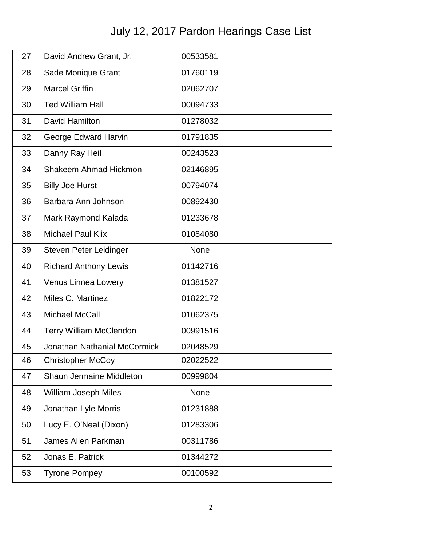## July 12, 2017 Pardon Hearings Case List

| 27 | David Andrew Grant, Jr.             | 00533581    |  |
|----|-------------------------------------|-------------|--|
| 28 | Sade Monique Grant                  | 01760119    |  |
| 29 | <b>Marcel Griffin</b>               | 02062707    |  |
| 30 | <b>Ted William Hall</b>             | 00094733    |  |
| 31 | David Hamilton                      | 01278032    |  |
| 32 | George Edward Harvin                | 01791835    |  |
| 33 | Danny Ray Heil                      | 00243523    |  |
| 34 | Shakeem Ahmad Hickmon               | 02146895    |  |
| 35 | <b>Billy Joe Hurst</b>              | 00794074    |  |
| 36 | Barbara Ann Johnson                 | 00892430    |  |
| 37 | Mark Raymond Kalada                 | 01233678    |  |
| 38 | <b>Michael Paul Klix</b>            | 01084080    |  |
| 39 | Steven Peter Leidinger              | <b>None</b> |  |
| 40 | <b>Richard Anthony Lewis</b>        | 01142716    |  |
| 41 | <b>Venus Linnea Lowery</b>          | 01381527    |  |
| 42 | Miles C. Martinez                   | 01822172    |  |
| 43 | Michael McCall                      | 01062375    |  |
| 44 | <b>Terry William McClendon</b>      | 00991516    |  |
| 45 | <b>Jonathan Nathanial McCormick</b> | 02048529    |  |
| 46 | <b>Christopher McCoy</b>            | 02022522    |  |
| 47 | Shaun Jermaine Middleton            | 00999804    |  |
| 48 | <b>William Joseph Miles</b>         | None        |  |
| 49 | Jonathan Lyle Morris                | 01231888    |  |
| 50 | Lucy E. O'Neal (Dixon)              | 01283306    |  |
| 51 | James Allen Parkman                 | 00311786    |  |
| 52 | Jonas E. Patrick                    | 01344272    |  |
| 53 | <b>Tyrone Pompey</b>                | 00100592    |  |